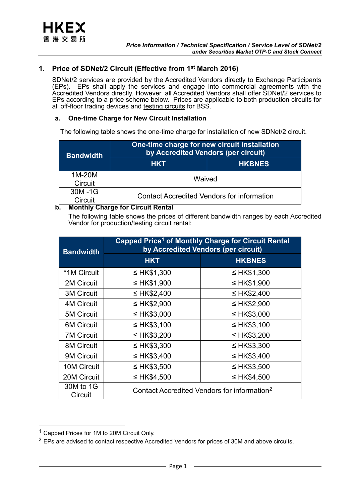# **1. Price of SDNet/2 Circuit (Effective from 1st March 2016)**

SDNet/2 services are provided by the Accredited Vendors directly to Exchange Participants (EPs). EPs shall apply the services and engage into commercial agreements with the Accredited Vendors directly. However, all Accredited Vendors shall offer SDNet/2 services to EPs according to a price scheme below. Prices are applicable to both production circuits for all off-floor trading devices and testing circuits for BSS.

# **a. One-time Charge for New Circuit Installation**

The following table shows the one-time charge for installation of new SDNet/2 circuit.

| <b>Bandwidth</b>  | One-time charge for new circuit installation<br>by Accredited Vendors (per circuit) |               |
|-------------------|-------------------------------------------------------------------------------------|---------------|
|                   | <b>HKT</b>                                                                          | <b>HKBNES</b> |
| 1M-20M<br>Circuit | Waived                                                                              |               |
| 30M-1G<br>Circuit | <b>Contact Accredited Vendors for information</b>                                   |               |

# **b. Monthly Charge for Circuit Rental**

The following table shows the prices of different bandwidth ranges by each Accredited Vendor for production/testing circuit rental:

| <b>Bandwidth</b>     | Capped Price <sup>1</sup> of Monthly Charge for Circuit Rental<br>by Accredited Vendors (per circuit) |                  |  |
|----------------------|-------------------------------------------------------------------------------------------------------|------------------|--|
|                      | <b>HKT</b>                                                                                            | <b>HKBNES</b>    |  |
| *1M Circuit          | ≤ HK\$1,300                                                                                           | ≤ HK\$1,300      |  |
| 2M Circuit           | ≤ HK\$1,900                                                                                           | ≤ HK\$1,900      |  |
| <b>3M Circuit</b>    | ≤ HK\$2,400                                                                                           | ≤ HK\$2,400      |  |
| <b>4M Circuit</b>    | ≤ HK\$2,900                                                                                           | ≤ HK\$2,900      |  |
| <b>5M Circuit</b>    | $\leq$ HK\$3,000                                                                                      | ≤ HK\$3,000      |  |
| <b>6M Circuit</b>    | ≤ HK\$3,100                                                                                           | ≤ HK\$3,100      |  |
| <b>7M Circuit</b>    | $\leq$ HK\$3,200                                                                                      | ≤ HK\$3,200      |  |
| <b>8M Circuit</b>    | ≤ HK\$3,300                                                                                           | ≤ HK\$3,300      |  |
| 9M Circuit           | ≤ HK\$3,400                                                                                           | ≤ HK\$3,400      |  |
| <b>10M Circuit</b>   | $\leq$ HK\$3,500                                                                                      | $\leq$ HK\$3,500 |  |
| 20M Circuit          | ≤ HK\$4,500                                                                                           | ≤ HK\$4,500      |  |
| 30M to 1G<br>Circuit | Contact Accredited Vendors for information <sup>2</sup>                                               |                  |  |

<u>.</u>

<span id="page-0-0"></span><sup>&</sup>lt;sup>1</sup> Capped Prices for 1M to 20M Circuit Only.

<span id="page-0-1"></span> $2$  EPs are advised to contact respective Accredited Vendors for prices of 30M and above circuits.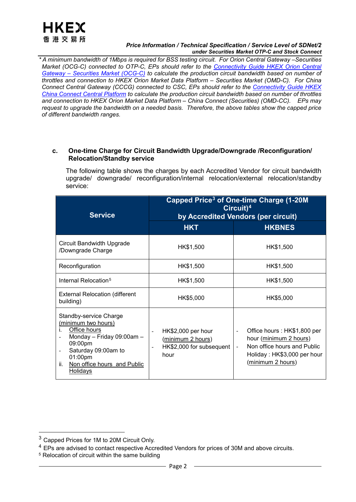

#### *Price Information / Technical Specification / Service Level of SDNet/2 under Securities Market OTP-C and Stock Connect*

*\* A minimum bandwidth of 1Mbps is required for BSS testing circuit. For Orion Central Gateway –Securities Market (OCG-C) connected to OTP-C, EPs should refer to the [Connectivity Guide HKEX Orion Central](https://www.hkex.com.hk/-/media/HKEX-Market/Services/Trading/Securities/Infrastructure/OCGC/HKEX_OCGC_Connectivity_Guide-(v3,-d-,0)-(20210917)-(clean).pdf?la=en)  Gateway – [Securities Market \(OCG-C\)](https://www.hkex.com.hk/-/media/HKEX-Market/Services/Trading/Securities/Infrastructure/OCGC/HKEX_OCGC_Connectivity_Guide-(v3,-d-,0)-(20210917)-(clean).pdf?la=en) to calculate the production circuit bandwidth based on number of throttles and connection to HKEX Orion Market Data Platform – Securities Market (OMD-C). For China Connect Central Gateway (CCCG) connected to CSC, EPs should refer to the [Connectivity Guide HKEX](https://www.hkex.com.hk/-/media/HKEX-Market/Mutual-Market/Stock-Connect/Reference-Materials/Technical-Documents/CCCG-Specifications/HKEX_CCCG_Connectivity_Guide.pdf?la=en)  [China Connect Central Platform](https://www.hkex.com.hk/-/media/HKEX-Market/Mutual-Market/Stock-Connect/Reference-Materials/Technical-Documents/CCCG-Specifications/HKEX_CCCG_Connectivity_Guide.pdf?la=en) to calculate the production circuit bandwidth based on number of throttles and connection to HKEX Orion Market Data Platform – China Connect (Securities) (OMD-CC). EPs may request to upgrade the bandwidth on a needed basis. Therefore, the above tables show the capped price of different bandwidth ranges.*

### **c. One-time Charge for Circuit Bandwidth Upgrade/Downgrade /Reconfiguration/ Relocation/Standby service**

The following table shows the charges by each Accredited Vendor for circuit bandwidth upgrade/ downgrade/ reconfiguration/internal relocation/external relocation/standby service:

| <b>Service</b>                                                                                                                                                                                                                         | <b>Capped Price<sup>3</sup> of One-time Charge (1-20M</b><br>$Circuit)^4$<br>by Accredited Vendors (per circuit) |                                                                                                                                                                                                         |  |
|----------------------------------------------------------------------------------------------------------------------------------------------------------------------------------------------------------------------------------------|------------------------------------------------------------------------------------------------------------------|---------------------------------------------------------------------------------------------------------------------------------------------------------------------------------------------------------|--|
|                                                                                                                                                                                                                                        | <b>HKT</b>                                                                                                       | <b>HKBNES</b>                                                                                                                                                                                           |  |
| Circuit Bandwidth Upgrade<br>/Downgrade Charge                                                                                                                                                                                         | HK\$1,500                                                                                                        | HK\$1,500                                                                                                                                                                                               |  |
| Reconfiguration                                                                                                                                                                                                                        | HK\$1,500                                                                                                        | HK\$1,500                                                                                                                                                                                               |  |
| Internal Relocation <sup>5</sup>                                                                                                                                                                                                       | HK\$1,500                                                                                                        | HK\$1,500                                                                                                                                                                                               |  |
| <b>External Relocation (different</b><br>building)                                                                                                                                                                                     | HK\$5,000                                                                                                        | HK\$5,000                                                                                                                                                                                               |  |
| Standby-service Charge<br>(minimum two hours)<br>Office hours<br>i.<br>Monday - Friday 09:00am -<br>09:00pm<br>Saturday 09:00am to<br>$\qquad \qquad \blacksquare$<br>01:00pm<br>ii.<br>Non office hours and Public<br><b>Holidays</b> | HK\$2,000 per hour<br>(minimum 2 hours)<br>HK\$2,000 for subsequent<br>$\qquad \qquad \blacksquare$<br>hour      | Office hours: HK\$1,800 per<br>$\overline{\phantom{m}}$<br>hour (minimum 2 hours)<br>Non office hours and Public<br>$\overline{\phantom{a}}$<br>Holiday: HK\$3,000 per hour<br><u>(minimum 2 hours)</u> |  |

-

<span id="page-1-0"></span><sup>3</sup> Capped Prices for 1M to 20M Circuit Only.

<span id="page-1-1"></span><sup>&</sup>lt;sup>4</sup> EPs are advised to contact respective Accredited Vendors for prices of 30M and above circuits.

<span id="page-1-2"></span><sup>5</sup> Relocation of circuit within the same building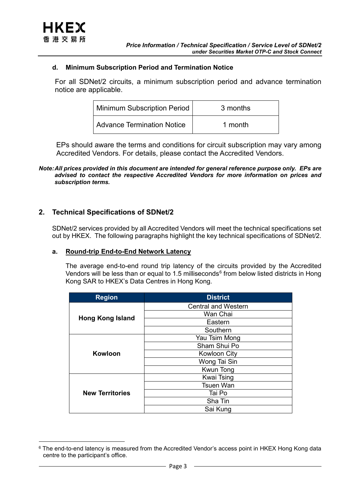# **d. Minimum Subscription Period and Termination Notice**

For all SDNet/2 circuits, a minimum subscription period and advance termination notice are applicable.

| Minimum Subscription Period | 3 months |
|-----------------------------|----------|
| Advance Termination Notice  | 1 month  |

EPs should aware the terms and conditions for circuit subscription may vary among Accredited Vendors. For details, please contact the Accredited Vendors.

*Note:All prices provided in this document are intended for general reference purpose only. EPs are advised to contact the respective Accredited Vendors for more information on prices and subscription terms.*

# **2. Technical Specifications of SDNet/2**

SDNet/2 services provided by all Accredited Vendors will meet the technical specifications set out by HKEX. The following paragraphs highlight the key technical specifications of SDNet/2.

#### **a. Round-trip End-to-End Network Latency**

The average end-to-end round trip latency of the circuits provided by the Accredited Vendors will be less than or equal to 1.5 milliseconds<sup>[6](#page-2-0)</sup> from below listed districts in Hong Kong SAR to HKEX's Data Centres in Hong Kong.

| <b>Region</b>           | <b>District</b>            |
|-------------------------|----------------------------|
|                         | <b>Central and Western</b> |
| <b>Hong Kong Island</b> | Wan Chai                   |
|                         | Eastern                    |
|                         | Southern                   |
|                         | Yau Tsim Mong              |
|                         | Sham Shui Po               |
| Kowloon                 | <b>Kowloon City</b>        |
|                         | Wong Tai Sin               |
|                         | Kwun Tong                  |
|                         | <b>Kwai Tsing</b>          |
|                         | <b>Tsuen Wan</b>           |
| <b>New Territories</b>  | Tai Po                     |
|                         | Sha Tin                    |
|                         | Sai Kung                   |

<span id="page-2-0"></span><sup>-</sup><sup>6</sup> The end-to-end latency is measured from the Accredited Vendor's access point in HKEX Hong Kong data centre to the participant's office.